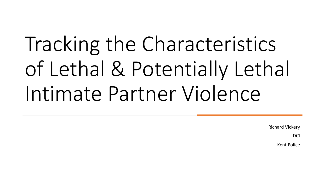# Tracking the Characteristics of Lethal & Potentially Lethal Intimate Partner Violence

Richard Vickery

DCI

Kent Police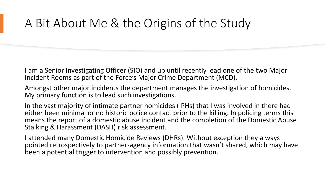# A Bit About Me & the Origins of the Study

I am a Senior Investigating Officer (SIO) and up until recently lead one of the two Major Incident Rooms as part of the Force's Major Crime Department (MCD).

Amongst other major incidents the department manages the investigation of homicides. My primary function is to lead such investigations.

In the vast majority of intimate partner homicides (IPHs) that I was involved in there had either been minimal or no historic police contact prior to the killing. In policing terms this means the report of a domestic abuse incident and the completion of the Domestic Abuse Stalking & Harassment (DASH) risk assessment.

I attended many Domestic Homicide Reviews (DHRs). Without exception they always pointed retrospectively to partner-agency information that wasn't shared, which may have been a potential trigger to intervention and possibly prevention.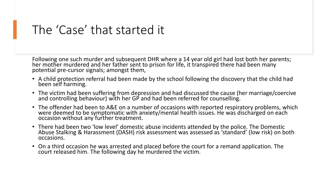# The 'Case' that started it

Following one such murder and subsequent DHR where a 14 year old girl had lost both her parents; her mother murdered and her father sent to prison for life, it transpired there had been many potential pre-cursor signals; amongst them,

- A child protection referral had been made by the school following the discovery that the child had been self harming.
- The victim had been suffering from depression and had discussed the cause (her marriage/coercive and controlling behaviour) with her GP and had been referred for counselling.
- The offender had been to A&E on a number of occasions with reported respiratory problems, which were deemed to be symptomatic with anxiety/mental health issues. He was discharged on each occasion without any further treatment.
- There had been two 'low level' domestic abuse incidents attended by the police. The Domestic Abuse Stalking & Harassment (DASH) risk assessment was assessed as 'standard' (low risk) on both occasions.
- On a third occasion he was arrested and placed before the court for a remand application. The court released him. The following day he murdered the victim.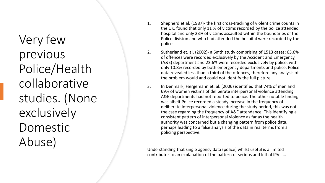Very few previous Police/Health collaborative studies. (None exclusively Domestic Abuse)

- 1. Shepherd et.al. (1987)- the first cross-tracking of violent crime counts in the UK, found that only 11 % of victims recorded by the police attended hospital and only 23% of victims assaulted within the boundaries of the Police division and who had attended the hospital were recorded by the police.
- 2. Sutherland et. al. (2002)- a 6mth study comprising of 1513 cases: 65.6% of offences were recorded exclusively by the Accident and Emergency, (A&E) department and 23.6% were recorded exclusively by police, with only 10.8% recorded by both emergency departments and police. Police data revealed less than a third of the offences, therefore any analysis of the problem would and could not identify the full picture.
- 3. In Denmark, Færgemann et. al. (2006) identified that 74% of men and 69% of women victims of deliberate interpersonal violence attending A&E departments had not reported to police. The other notable finding was albeit Police recorded a steady increase in the frequency of deliberate interpersonal violence during the study period, this was not the case regarding the frequency of A&E attendance. This identifying a consistent pattern of interpersonal violence as far as the health authority was concerned but a changing pattern from police data, perhaps leading to a false analysis of the data in real terms from a policing perspective.

Understanding that single agency data (police) whilst useful is a limited contributor to an explanation of the pattern of serious and lethal IPV……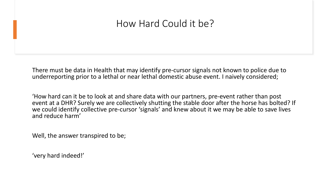#### How Hard Could it be?

There must be data in Health that may identify pre-cursor signals not known to police due to underreporting prior to a lethal or near lethal domestic abuse event. I naively considered;

'How hard can it be to look at and share data with our partners, pre-event rather than post event at a DHR? Surely we are collectively shutting the stable door after the horse has bolted? If we could identify collective pre-cursor 'signals' and knew about it we may be able to save lives and reduce harm'

Well, the answer transpired to be;

'very hard indeed!'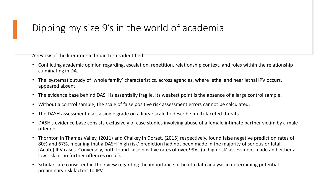#### Dipping my size 9's in the world of academia

A review of the literature in broad terms identified

- Conflicting academic opinion regarding, escalation, repetition, relationship context, and roles within the relationship culminating in DA.
- The systematic study of 'whole family' characteristics, across agencies, where lethal and near lethal IPV occurs, appeared absent.
- The evidence base behind DASH is essentially fragile. Its weakest point is the absence of a large control sample.
- Without a control sample, the scale of false positive risk assessment errors cannot be calculated.
- The DASH assessment uses a single grade on a linear scale to describe multi-faceted threats.
- DASH's evidence base consists exclusively of case studies involving abuse of a female intimate partner victim by a male offender.
- Thornton in Thames Valley, (2011) and Chalkey in Dorset, (2015) respectively, found false negative prediction rates of 80% and 67%, meaning that a DASH 'high risk' prediction had not been made in the majority of serious or fatal, (Acute) IPV cases. Conversely, both found false positive rates of over 99%, (a 'high risk' assessment made and either a low risk or no further offences occur).
- Scholars are consistent in their view regarding the importance of health data analysis in determining potential preliminary risk factors to IPV.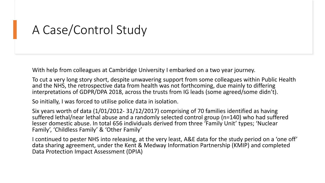## A Case/Control Study

With help from colleagues at Cambridge University I embarked on a two year journey.

To cut a very long story short, despite unwavering support from some colleagues within Public Health and the NHS, the retrospective data from health was not forthcoming, due mainly to differing interpretations of GDPR/DPA 2018, across the trusts from IG leads (some agreed/some didn't).

So initially, I was forced to utilise police data in isolation.

Six years worth of data (1/01/2012- 31/12/2017) comprising of 70 families identified as having suffered lethal/near lethal abuse and a randomly selected control group (n=140) who had suffered lesser domestic abuse. In total 656 individuals derived from three 'Family Unit' types; 'Nuclear Family', 'Childless Family' & 'Other Family'

I continued to pester NHS into releasing, at the very least, A&E data for the study period on a 'one off' data sharing agreement, under the Kent & Medway Information Partnership (KMIP) and completed Data Protection Impact Assessment (DPIA)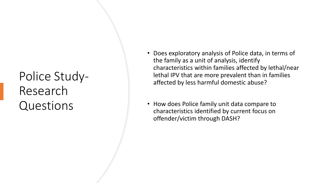# Police Study - Research Questions

- Does exploratory analysis of Police data, in terms of the family as a unit of analysis, identify characteristics within families affected by lethal/near lethal IPV that are more prevalent than in families affected by less harmful domestic abuse?
- How does Police family unit data compare to characteristics identified by current focus on offender/victim through DASH?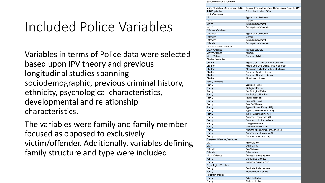# Included Police Variables

Variables in terms of Police data were selected based upon IPV theory and previous longitudinal studies spanning sociodemographic, previous criminal history, ethnicity, psychological characteristics, developmental and relationship characteristics.

The variables were family and family member focused as opposed to exclusively victim/offender. Additionally, variables defining family structure and type were included

| <i>ouuuden lugi aprillo vanaules</i> |                                                                    |
|--------------------------------------|--------------------------------------------------------------------|
| Index of Multiple Deprivation, (IMD) | % more than in other Lower Super Output Area, (LSOA)               |
| <b>IMD Deprivation</b>               | % less than in other LSOA                                          |
| <b>Victim Variables</b>              |                                                                    |
| Victim                               | Age at date of offence                                             |
| Victim                               | Gender                                                             |
| Victim                               | In paid employment                                                 |
| Victim                               | Not in paid employment                                             |
| <b>Offender Variables</b>            |                                                                    |
| Offender                             | Age at date of offence                                             |
| Offender                             | Gender                                                             |
| Offender                             | In paid employment                                                 |
| Offender                             | Not in paid employment                                             |
| Victim/Offender Variables            |                                                                    |
| Victim/Offender                      |                                                                    |
| Victim/Offender                      | Intimate partners                                                  |
| Victim/Offender                      | Age gap                                                            |
|                                      | Number of children                                                 |
| Children Variables                   |                                                                    |
| Children<br>Children                 | Age of oldest child at time of offence                             |
|                                      | Age of youngest child at time of offence                           |
| Children                             | Mean age of children at time of offence<br>Number of male children |
| Children                             | Number of female children                                          |
| Children<br>Children                 |                                                                    |
|                                      | Mixed sex children                                                 |
| <b>Family Variables</b>              |                                                                    |
| Family                               | <b>Biological Father</b>                                           |
| Family                               | <b>Biological Mother</b>                                           |
| Family                               | Not Biological Father                                              |
| Family                               | Not Biological Mother                                              |
| Family                               | Family mean age                                                    |
| Family                               | Prior DASH report                                                  |
| Family                               | Prior DASH score                                                   |
| Family                               | Type - Nuclear Family, (NF)                                        |
| Family                               | Type - Childless Family, (CF)                                      |
| Family                               | Type - Other Family, (OF)                                          |
| Family                               | Number in household, (HH)                                          |
| Family                               | Number in HH & elsewhere                                           |
| Family                               | Living elsewhere                                                   |
| Family                               | Unknown where living                                               |
| Family                               | Number white North European, (NE)                                  |
| Family                               | Number other than white NE                                         |
| Family                               | Number mixed ethnicity                                             |
| Pre-event Offending Variables        |                                                                    |
| Victim                               | Any violence                                                       |
| Victim                               | <b>Other Crime</b>                                                 |
| Offender                             | Any Violence                                                       |
| Offender                             | Other crime                                                        |
| Victim/Offender                      | Domestic abuse between                                             |
| Family                               | Cumulative violence                                                |
| Family                               | Domestic abuse related                                             |
| Physiological Variables              |                                                                    |
| Family                               | Suicide/suicidal markers                                           |
| Family                               | Mental health markers                                              |
| Referral Variables                   |                                                                    |
| Family                               | Adult protection                                                   |
| Family                               | Child protection                                                   |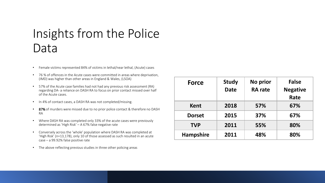# Insights from the Police Data

- Female victims represented 84% of victims in lethal/near lethal, (Acute) cases
- 76 % of offences in the Acute cases were committed in areas where deprivation, (IMD) was higher than other areas in England & Wales, (LSOA)
- 57% of the Acute case families had not had any previous risk assessment (RA) regarding DA- a reliance on DASH RA to focus on prior contact missed over half of the Acute cases.
- In 4% of contact cases, a DASH RA was not completed/missing.
- 87% of murders were missed due to no prior police contact & therefore no DASH RA
- Where DASH RA was completed only 33% of the acute cases were previously determined as 'High Risk' – A 67% false negative rate
- Conversely across the 'whole' population where DASH RA was completed at 'High Risk' (n=13,178), only 10 of those assessed as such resulted in an acute case – a 99.92% false positive rate
- The above reflecting previous studies in three other policing areas

| <b>Force</b>     | <b>Study</b><br><b>Date</b> | <b>No prior</b><br><b>RA</b> rate | <b>False</b><br><b>Negative</b><br>Rate |
|------------------|-----------------------------|-----------------------------------|-----------------------------------------|
| <b>Kent</b>      | 2018                        | 57%                               | 67%                                     |
| <b>Dorset</b>    | 2015                        | 37%                               | 67%                                     |
| <b>TVP</b>       | 2011                        | 55%                               | 80%                                     |
| <b>Hampshire</b> | 2011                        | 48%                               | 80%                                     |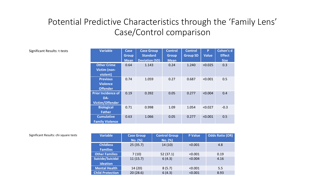#### Potential Predictive Characteristics through the 'Family Lens' Case/Control comparison

#### Significant Results: t-tests

| <b>Variable</b>                                       | <b>Case</b>  | <b>Case Group</b>     | Control      | <b>Control</b>  | P            | Cohen's d     |
|-------------------------------------------------------|--------------|-----------------------|--------------|-----------------|--------------|---------------|
|                                                       | <b>Group</b> | <b>Standard</b>       | <b>Group</b> | <b>Group SD</b> | <b>Value</b> | <b>Effect</b> |
|                                                       | <b>Mean</b>  | <b>Deviation (SD)</b> | <b>Mean</b>  |                 |              | <b>Size</b>   |
| <b>Other Crime</b><br>Victim (non-<br>violent)        | 0.64         | 1.143                 | 0.24         | 1.240           | < 0.025      | 0.3           |
| <b>Previous</b><br><b>Violence</b><br><b>Offender</b> | 0.74         | 1.059                 | 0.27         | 0.687           | < 0.001      | 0.5           |
| <b>Prior Incidence of</b><br>DA-<br>Victim/Offender   | 0.19         | 0.392                 | 0.05         | 0.277           | < 0.004      | 0.4           |
| <b>Biological</b><br><b>Father</b>                    | 0.71         | 0.998                 | 1.09         | 1.054           | < 0.027      | $-0.3$        |
| <b>Cumulative</b><br><b>Family Violence</b>           | 0.63         | 1.066                 | 0.05         | 0.277           | < 0.001      | 0.5           |

#### Significant Results: chi square tests

| <b>Variable</b>         | <b>Case Group</b> | <b>Control Group</b> | <b>P</b> Value | Odds Ratio (OR) |
|-------------------------|-------------------|----------------------|----------------|-----------------|
|                         | No. (%)           | No. (%)              |                |                 |
| <b>Childless</b>        | 25(35.7)          | 14(10)               | < 0.001        | 4.8             |
| <b>Families</b>         |                   |                      |                |                 |
| <b>Other Families</b>   | 7(10)             | 52(37.1)             | < 0.001        | 0.19            |
| Suicide/Suicidal        | 11(15.7)          | 6(4.3)               | < 0.004        | 4.16            |
| ideation                |                   |                      |                |                 |
| <b>Mental Health</b>    | 14 (20)           | 8(5.7)               | < 0.001        | 5.5             |
| <b>Child Protection</b> | 20(28.6)          | 6(4.3)               | < 0.001        | 8.93            |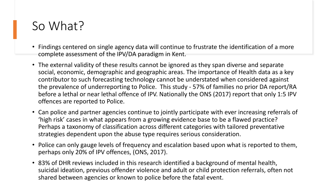# So What?

- Findings centered on single agency data will continue to frustrate the identification of a more complete assessment of the IPV/DA paradigm in Kent.
- The external validity of these results cannot be ignored as they span diverse and separate social, economic, demographic and geographic areas. The importance of Health data as a key contributor to such forecasting technology cannot be understated when considered against the prevalence of underreporting to Police. This study - 57% of families no prior DA report/RA before a lethal or near lethal offence of IPV. Nationally the ONS (2017) report that only 1:5 IPV offences are reported to Police.
- Can police and partner agencies continue to jointly participate with ever increasing referrals of 'high risk' cases in what appears from a growing evidence base to be a flawed practice? Perhaps a taxonomy of classification across different categories with tailored preventative strategies dependent upon the abuse type requires serious consideration.
- Police can only gauge levels of frequency and escalation based upon what is reported to them, perhaps only 20% of IPV offences, (ONS, 2017).
- 83% of DHR reviews included in this research identified a background of mental health, suicidal ideation, previous offender violence and adult or child protection referrals, often not shared between agencies or known to police before the fatal event.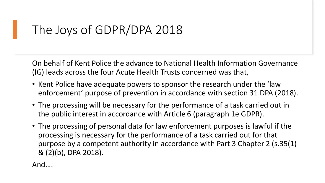# The Joys of GDPR/DPA 2018

On behalf of Kent Police the advance to National Health Information Governance (IG) leads across the four Acute Health Trusts concerned was that,

- Kent Police have adequate powers to sponsor the research under the 'law enforcement' purpose of prevention in accordance with section 31 DPA (2018).
- The processing will be necessary for the performance of a task carried out in the public interest in accordance with Article 6 (paragraph 1e GDPR).
- The processing of personal data for law enforcement purposes is lawful if the processing is necessary for the performance of a task carried out for that purpose by a competent authority in accordance with Part 3 Chapter 2 (s.35(1) & (2)(b), DPA 2018).

And….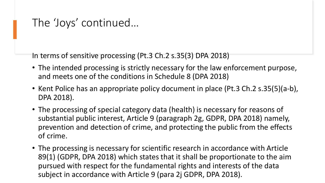### The 'Joys' continued…

In terms of sensitive processing (Pt.3 Ch.2 s.35(3) DPA 2018)

- The intended processing is strictly necessary for the law enforcement purpose, and meets one of the conditions in Schedule 8 (DPA 2018)
- Kent Police has an appropriate policy document in place (Pt.3 Ch.2 s.35(5)(a-b), DPA 2018).
- The processing of special category data (health) is necessary for reasons of substantial public interest, Article 9 (paragraph 2g, GDPR, DPA 2018) namely, prevention and detection of crime, and protecting the public from the effects of crime.
- The processing is necessary for scientific research in accordance with Article 89(1) (GDPR, DPA 2018) which states that it shall be proportionate to the aim pursued with respect for the fundamental rights and interests of the data subject in accordance with Article 9 (para 2j GDPR, DPA 2018).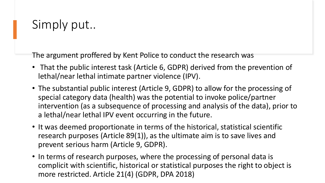The argument proffered by Kent Police to conduct the research was

- That the public interest task (Article 6, GDPR) derived from the prevention of lethal/near lethal intimate partner violence (IPV).
- The substantial public interest (Article 9, GDPR) to allow for the processing of special category data (health) was the potential to invoke police/partner intervention (as a subsequence of processing and analysis of the data), prior to a lethal/near lethal IPV event occurring in the future.
- It was deemed proportionate in terms of the historical, statistical scientific research purposes (Article 89(1)), as the ultimate aim is to save lives and prevent serious harm (Article 9, GDPR).
- In terms of research purposes, where the processing of personal data is complicit with scientific, historical or statistical purposes the right to object is more restricted. Article 21(4) (GDPR, DPA 2018)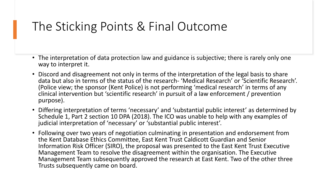# The Sticking Points & Final Outcome

- The interpretation of data protection law and guidance is subjective; there is rarely only one way to interpret it.
- Discord and disagreement not only in terms of the interpretation of the legal basis to share data but also in terms of the status of the research- 'Medical Research' or 'Scientific Research'. (Police view; the sponsor (Kent Police) is not performing 'medical research' in terms of any clinical intervention but 'scientific research' in pursuit of a law enforcement / prevention purpose).
- Differing interpretation of terms 'necessary' and 'substantial public interest' as determined by Schedule 1, Part 2 section 10 DPA (2018). The ICO was unable to help with any examples of judicial interpretation of 'necessary' or 'substantial public interest'.
- Following over two years of negotiation culminating in presentation and endorsement from the Kent Database Ethics Committee, East Kent Trust Caldicott Guardian and Senior Information Risk Officer (SIRO), the proposal was presented to the East Kent Trust Executive Management Team to resolve the disagreement within the organisation. The Executive Management Team subsequently approved the research at East Kent. Two of the other three Trusts subsequently came on board.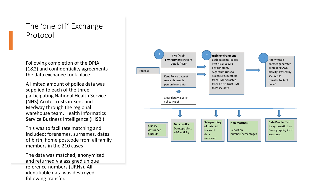#### The 'one off' Exchange Protocol

Following completion of the DPIA (1&2) and confidentiality agreements the data exchange took place.

A limited amount of police data was supplied to each of the three participating National Health Service (NHS) Acute Trusts in Kent and Medway through the regional warehouse team, Health Informatics Service Business Intelligence (HISBi)

This was to facilitate matching and included; forenames, surnames, dates of birth, home postcode from all family members in the 210 cases

The data was matched, anonymised and returned via assigned unique reference numbers (URNs). All identifiable data was destroyed following transfer.

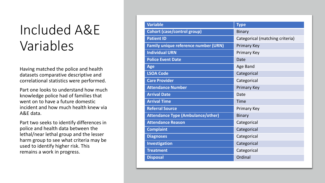# Included A&E Variables

Having matched the police and health datasets comparative descriptive and correlational statistics were performed.

Part one looks to understand how much knowledge police had of families that went on to have a future domestic incident and how much health knew via A&E data.

Part two seeks to identify differences in police and health data between the lethal/near lethal group and the lesser harm group to see what criteria may be used to identify higher risk. This remains a work in progress.

| <b>Variable</b>                          | <b>Type</b>                     |
|------------------------------------------|---------------------------------|
| <b>Cohort (case/control group)</b>       | <b>Binary</b>                   |
| <b>Patient ID</b>                        | Categorical (matching criteria) |
| Family unique reference number (URN)     | <b>Primary Key</b>              |
| <b>Individual URN</b>                    | <b>Primary Key</b>              |
| <b>Police Event Date</b>                 | Date                            |
| <b>Age</b>                               | Age Band                        |
| <b>LSOA Code</b>                         | Categorical                     |
| <b>Care Provider</b>                     | Categorical                     |
| <b>Attendance Number</b>                 | <b>Primary Key</b>              |
| <b>Arrival Date</b>                      | Date                            |
| <b>Arrival Time</b>                      | Time                            |
| <b>Referral Source</b>                   | <b>Primary Key</b>              |
| <b>Attendance Type (Ambulance/other)</b> | <b>Binary</b>                   |
| <b>Attendance Reason</b>                 | Categorical                     |
| <b>Complaint</b>                         | Categorical                     |
| <b>Diagnoses</b>                         | Categorical                     |
| Investigation                            | Categorical                     |
| <b>Treatment</b>                         | Categorical                     |
| <b>Disposal</b>                          | Ordinal                         |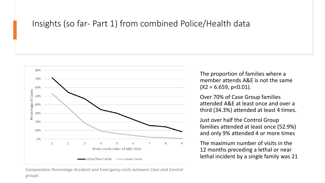#### Insights (so far- Part 1) from combined Police/Health data



The proportion of families where a member attends A&E is not the same  $(X2 = 6.659, p<0.01)$ .

Over 70% of Case Group families attended A&E at least once and over a third (34.3%) attended at least 4 times.

Just over half the Control Group families attended at least once (52.9%) and only 9% attended 4 or more times

The maximum number of visits in the 12 months preceding a lethal or near lethal incident by a single family was 21

*Comparative Percentage Accident and Emergency visits between Case and Control groups*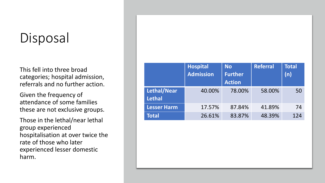# Disposal

This fell into three broad categories; hospital admission, referrals and no further action.

Given the frequency of attendance of some families these are not exclusive groups.

Those in the lethal/near lethal group experienced hospitalisation at over twice the rate of those who later experienced lesser domestic harm.

|                              | <b>Hospital</b><br><b>Admission</b> | <b>No</b><br><b>Further</b><br><b>Action</b> | <b>Referral</b> | <b>Total</b><br>(n) |
|------------------------------|-------------------------------------|----------------------------------------------|-----------------|---------------------|
| Lethal/Near<br><b>Lethal</b> | 40.00%                              | 78.00%                                       | 58.00%          | 50                  |
| <b>Lesser Harm</b>           | 17.57%                              | 87.84%                                       | 41.89%          | 74                  |
| <b>Total</b>                 | 26.61%                              | 83.87%                                       | 48.39%          | 124                 |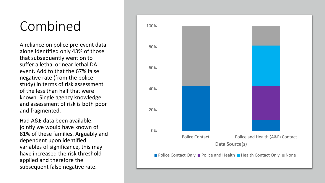# Combined

A reliance on police pre-event data alone identified only 43% of those that subsequently went on to suffer a lethal or near lethal DA event. Add to that the 67% false negative rate (from the police study) in terms of risk assessment of the less than half that were known. Single agency knowledge and assessment of risk is both poor and fragmented.

Had A&E data been available, jointly we would have known of 81% of these families. Arguably and dependent upon identified variables of significance, this may have increased the risk threshold applied and therefore the subsequent false negative rate.

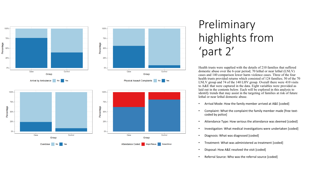

# Preliminary highlights from 'part 2'

Health trusts were supplied with the details of 210 families that suffered domestic abuse over the 6-year period; 70 lethal or near lethal (LNLV) cases and 140 comparison lower harm violence cases. Three of the four health trusts provided returns which consisted of 124 families; 50 of the 70 LNLV group and 74 of the 140 LHV group. Overall there were 410 visits to A&E that were captured in the data. Eight variables were provided as laid out in the contents below. Each will be explored in this analysis to identify trends that may assist in the targeting of families at risk of future lethal or near lethal domestic abuse.

- Arrival Mode: How the family member arrived at A&E [coded]
- Complaint: What the complaint the family member made [free textcoded by police]
- Attendance Type: How serious the attendance was deemed [coded]
- Investigation: What medical investigations were undertaken [coded]
- Diagnosis: What was diagnosed [coded]
- Treatment: What was administered as treatment [coded]
- Disposal: How A&E resolved the visit [coded]
- Referral Source: Who was the referral source [coded]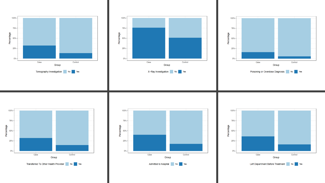





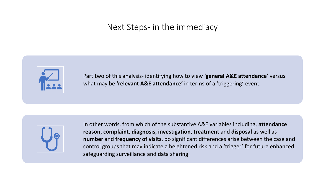#### Next Steps- in the immediacy



Part two of this analysis- identifying how to view **'general A&E attendance'** versus what may be **'relevant A&E attendance'** in terms of a 'triggering' event.



In other words, from which of the substantive A&E variables including, **attendance reason, complaint, diagnosis, investigation, treatment** and **disposal** as well as **number** and **frequency of visits**, do significant differences arise between the case and control groups that may indicate a heightened risk and a 'trigger' for future enhanced safeguarding surveillance and data sharing.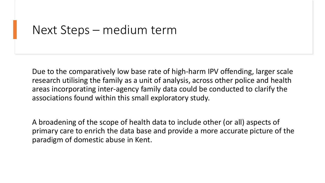### Next Steps – medium term

Due to the comparatively low base rate of high-harm IPV offending, larger scale research utilising the family as a unit of analysis, across other police and health areas incorporating inter-agency family data could be conducted to clarify the associations found within this small exploratory study.

A broadening of the scope of health data to include other (or all) aspects of primary care to enrich the data base and provide a more accurate picture of the paradigm of domestic abuse in Kent.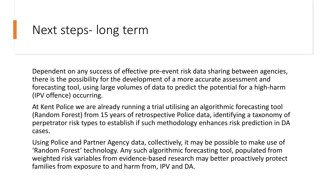#### Next steps- long term

Dependent on any success of effective pre-event risk data sharing between agencies, there is the possibility for the development of a more accurate assessment and forecasting tool, using large volumes of data to predict the potential for a high-harm (IPV offence) occurring.

At Kent Police we are already running a trial utilising an algorithmic forecasting tool (Random Forest) from 15 years of retrospective Police data, identifying a taxonomy of perpetrator risk types to establish if such methodology enhances risk prediction in DA cases.

Using Police and Partner Agency data, collectively, it may be possible to make use of 'Random Forest' technology. Any such algorithmic forecasting tool, populated from weighted risk variables from evidence-based research may better proactively protect families from exposure to and harm from, IPV and DA.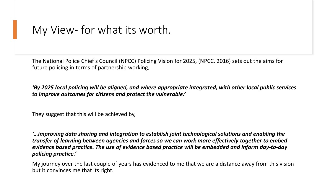#### My View- for what its worth.

The National Police Chief's Council (NPCC) Policing Vision for 2025, (NPCC, 2016) sets out the aims for future policing in terms of partnership working,

*'By 2025 local policing will be aligned, and where appropriate integrated, with other local public services to improve outcomes for citizens and protect the vulnerable.'* 

They suggest that this will be achieved by,

*'…improving data sharing and integration to establish joint technological solutions and enabling the transfer of learning between agencies and forces so we can work more effectively together to embed evidence based practice. The use of evidence based practice will be embedded and inform day-to-day policing practice.'* 

My journey over the last couple of years has evidenced to me that we are a distance away from this vision but it convinces me that its right.